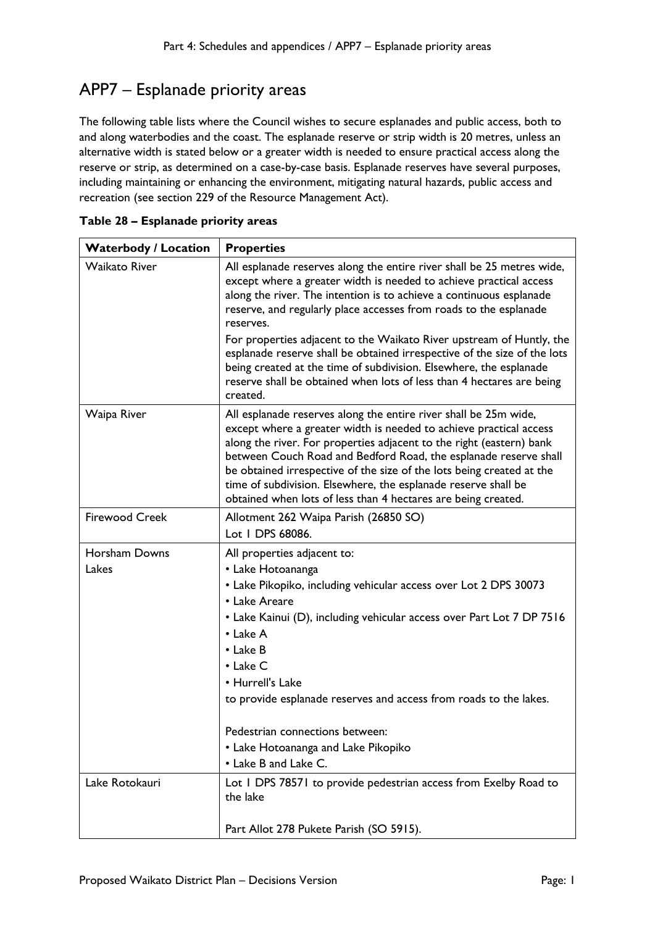## APP7 – Esplanade priority areas

The following table lists where the Council wishes to secure esplanades and public access, both to and along waterbodies and the coast. The esplanade reserve or strip width is 20 metres, unless an alternative width is stated below or a greater width is needed to ensure practical access along the reserve or strip, as determined on a case-by-case basis. Esplanade reserves have several purposes, including maintaining or enhancing the environment, mitigating natural hazards, public access and recreation (see section 229 of the Resource Management Act).

| <b>Waterbody / Location</b> | <b>Properties</b>                                                                                                                                                                                                                                                                                                                                                                                                                                                                              |
|-----------------------------|------------------------------------------------------------------------------------------------------------------------------------------------------------------------------------------------------------------------------------------------------------------------------------------------------------------------------------------------------------------------------------------------------------------------------------------------------------------------------------------------|
| <b>Waikato River</b>        | All esplanade reserves along the entire river shall be 25 metres wide,<br>except where a greater width is needed to achieve practical access<br>along the river. The intention is to achieve a continuous esplanade<br>reserve, and regularly place accesses from roads to the esplanade<br>reserves.                                                                                                                                                                                          |
|                             | For properties adjacent to the Waikato River upstream of Huntly, the<br>esplanade reserve shall be obtained irrespective of the size of the lots<br>being created at the time of subdivision. Elsewhere, the esplanade<br>reserve shall be obtained when lots of less than 4 hectares are being<br>created.                                                                                                                                                                                    |
| Waipa River                 | All esplanade reserves along the entire river shall be 25m wide,<br>except where a greater width is needed to achieve practical access<br>along the river. For properties adjacent to the right (eastern) bank<br>between Couch Road and Bedford Road, the esplanade reserve shall<br>be obtained irrespective of the size of the lots being created at the<br>time of subdivision. Elsewhere, the esplanade reserve shall be<br>obtained when lots of less than 4 hectares are being created. |
| <b>Firewood Creek</b>       | Allotment 262 Waipa Parish (26850 SO)                                                                                                                                                                                                                                                                                                                                                                                                                                                          |
|                             | Lot 1 DPS 68086.                                                                                                                                                                                                                                                                                                                                                                                                                                                                               |
| Horsham Downs               | All properties adjacent to:                                                                                                                                                                                                                                                                                                                                                                                                                                                                    |
| Lakes                       | • Lake Hotoananga                                                                                                                                                                                                                                                                                                                                                                                                                                                                              |
|                             | • Lake Pikopiko, including vehicular access over Lot 2 DPS 30073                                                                                                                                                                                                                                                                                                                                                                                                                               |
|                             | • Lake Areare                                                                                                                                                                                                                                                                                                                                                                                                                                                                                  |
|                             | • Lake Kainui (D), including vehicular access over Part Lot 7 DP 7516                                                                                                                                                                                                                                                                                                                                                                                                                          |
|                             | $\cdot$ Lake A                                                                                                                                                                                                                                                                                                                                                                                                                                                                                 |
|                             | • Lake B<br>$\cdot$ Lake C                                                                                                                                                                                                                                                                                                                                                                                                                                                                     |
|                             | • Hurrell's Lake                                                                                                                                                                                                                                                                                                                                                                                                                                                                               |
|                             | to provide esplanade reserves and access from roads to the lakes.                                                                                                                                                                                                                                                                                                                                                                                                                              |
|                             |                                                                                                                                                                                                                                                                                                                                                                                                                                                                                                |
|                             | Pedestrian connections between:                                                                                                                                                                                                                                                                                                                                                                                                                                                                |
|                             | • Lake Hotoananga and Lake Pikopiko                                                                                                                                                                                                                                                                                                                                                                                                                                                            |
|                             | • Lake B and Lake C.                                                                                                                                                                                                                                                                                                                                                                                                                                                                           |
| Lake Rotokauri              | Lot I DPS 78571 to provide pedestrian access from Exelby Road to<br>the lake                                                                                                                                                                                                                                                                                                                                                                                                                   |
|                             | Part Allot 278 Pukete Parish (SO 5915).                                                                                                                                                                                                                                                                                                                                                                                                                                                        |

**Table 28 – Esplanade priority areas**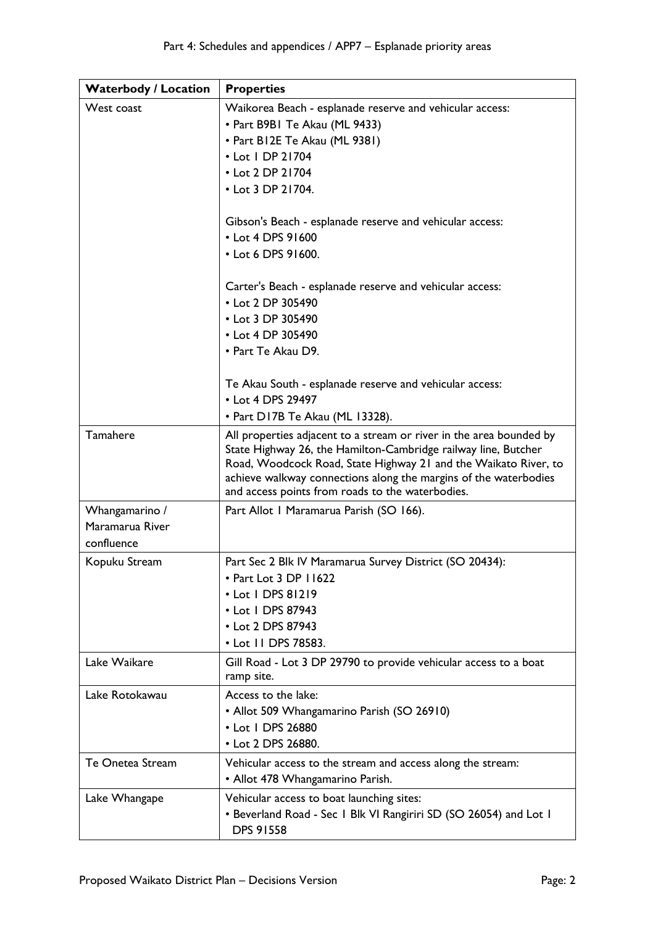| <b>Waterbody / Location</b> | <b>Properties</b>                                                                                                                                                                                                                                                                                                                |
|-----------------------------|----------------------------------------------------------------------------------------------------------------------------------------------------------------------------------------------------------------------------------------------------------------------------------------------------------------------------------|
| West coast                  | Waikorea Beach - esplanade reserve and vehicular access:                                                                                                                                                                                                                                                                         |
|                             | • Part B9B1 Te Akau (ML 9433)                                                                                                                                                                                                                                                                                                    |
|                             | • Part B12E Te Akau (ML 9381)                                                                                                                                                                                                                                                                                                    |
|                             | • Lot 1 DP 21704                                                                                                                                                                                                                                                                                                                 |
|                             | • Lot 2 DP 21704                                                                                                                                                                                                                                                                                                                 |
|                             | • Lot 3 DP 21704.                                                                                                                                                                                                                                                                                                                |
|                             |                                                                                                                                                                                                                                                                                                                                  |
|                             | Gibson's Beach - esplanade reserve and vehicular access:                                                                                                                                                                                                                                                                         |
|                             | • Lot 4 DPS 91600                                                                                                                                                                                                                                                                                                                |
|                             | • Lot 6 DPS 91600.                                                                                                                                                                                                                                                                                                               |
|                             |                                                                                                                                                                                                                                                                                                                                  |
|                             | Carter's Beach - esplanade reserve and vehicular access:<br>• Lot 2 DP 305490                                                                                                                                                                                                                                                    |
|                             | • Lot 3 DP 305490                                                                                                                                                                                                                                                                                                                |
|                             | • Lot 4 DP 305490                                                                                                                                                                                                                                                                                                                |
|                             | • Part Te Akau D9.                                                                                                                                                                                                                                                                                                               |
|                             |                                                                                                                                                                                                                                                                                                                                  |
|                             | Te Akau South - esplanade reserve and vehicular access:                                                                                                                                                                                                                                                                          |
|                             | • Lot 4 DPS 29497                                                                                                                                                                                                                                                                                                                |
|                             | • Part D17B Te Akau (ML 13328).                                                                                                                                                                                                                                                                                                  |
| Tamahere                    | All properties adjacent to a stream or river in the area bounded by<br>State Highway 26, the Hamilton-Cambridge railway line, Butcher<br>Road, Woodcock Road, State Highway 21 and the Waikato River, to<br>achieve walkway connections along the margins of the waterbodies<br>and access points from roads to the waterbodies. |
| Whangamarino /              | Part Allot I Maramarua Parish (SO 166).                                                                                                                                                                                                                                                                                          |
| Maramarua River             |                                                                                                                                                                                                                                                                                                                                  |
| confluence                  |                                                                                                                                                                                                                                                                                                                                  |
| Kopuku Stream               | Part Sec 2 Blk IV Maramarua Survey District (SO 20434):                                                                                                                                                                                                                                                                          |
|                             | • Part Lot 3 DP 11622                                                                                                                                                                                                                                                                                                            |
|                             | • Lot   DPS 81219                                                                                                                                                                                                                                                                                                                |
|                             | • Lot I DPS 87943                                                                                                                                                                                                                                                                                                                |
|                             | • Lot 2 DPS 87943                                                                                                                                                                                                                                                                                                                |
|                             | • Lot II DPS 78583.                                                                                                                                                                                                                                                                                                              |
| Lake Waikare                | Gill Road - Lot 3 DP 29790 to provide vehicular access to a boat                                                                                                                                                                                                                                                                 |
|                             | ramp site.                                                                                                                                                                                                                                                                                                                       |
| Lake Rotokawau              | Access to the lake:                                                                                                                                                                                                                                                                                                              |
|                             | • Allot 509 Whangamarino Parish (SO 26910)                                                                                                                                                                                                                                                                                       |
|                             | • Lot I DPS 26880                                                                                                                                                                                                                                                                                                                |
|                             | • Lot 2 DPS 26880.                                                                                                                                                                                                                                                                                                               |
| Te Onetea Stream            | Vehicular access to the stream and access along the stream:                                                                                                                                                                                                                                                                      |
|                             | • Allot 478 Whangamarino Parish.                                                                                                                                                                                                                                                                                                 |
| Lake Whangape               | Vehicular access to boat launching sites:                                                                                                                                                                                                                                                                                        |
|                             | • Beverland Road - Sec I Blk VI Rangiriri SD (SO 26054) and Lot I<br><b>DPS 91558</b>                                                                                                                                                                                                                                            |